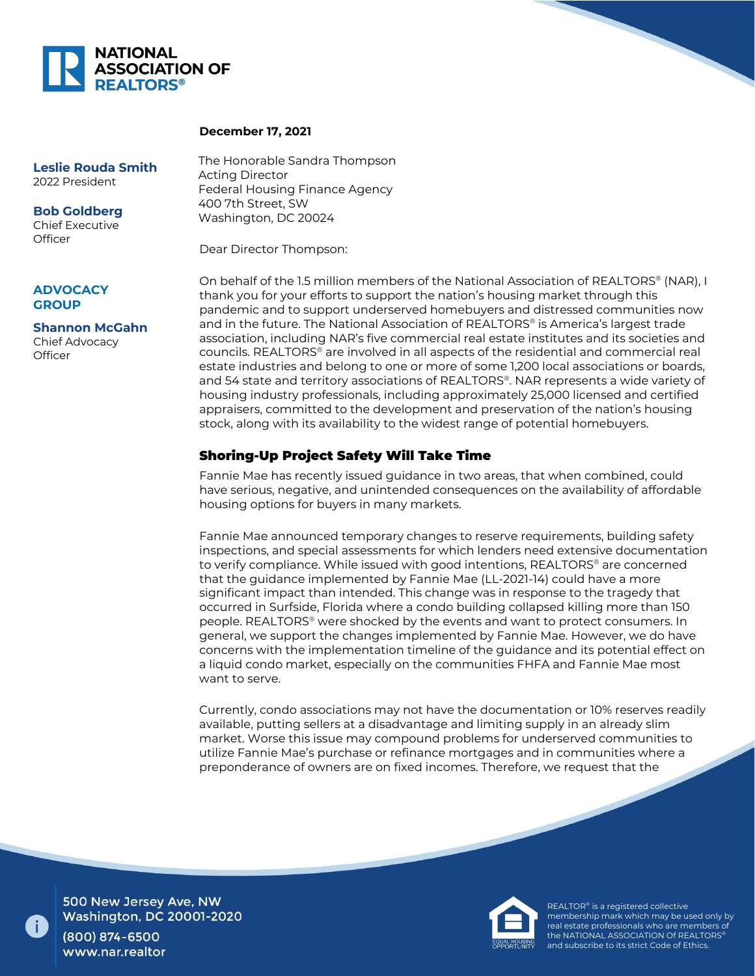

## **December 17, 2021**

**Leslie Rouda Smith** 2022 President

**Bob Goldberg** Chief Executive **Officer** 

## **ADVOCACY GROUP**

**Shannon McGahn** Chief Advocacy **Officer** 

The Honorable Sandra Thompson Acting Director Federal Housing Finance Agency 400 7th Street, SW Washington, DC 20024

Dear Director Thompson:

On behalf of the 1.5 million members of the National Association of REALTORS® (NAR), I thank you for your efforts to support the nation's housing market through this pandemic and to support underserved homebuyers and distressed communities now and in the future. The National Association of REALTORS® is America's largest trade association, including NAR's five commercial real estate institutes and its societies and councils. REALTORS® are involved in all aspects of the residential and commercial real estate industries and belong to one or more of some 1,200 local associations or boards, and 54 state and territory associations of REALTORS®. NAR represents a wide variety of housing industry professionals, including approximately 25,000 licensed and certified appraisers, committed to the development and preservation of the nation's housing stock, along with its availability to the widest range of potential homebuyers.

## Shoring-Up Project Safety Will Take Time

Fannie Mae has recently issued guidance in two areas, that when combined, could have serious, negative, and unintended consequences on the availability of affordable housing options for buyers in many markets.

Fannie Mae announced temporary changes to reserve requirements, building safety inspections, and special assessments for which lenders need extensive documentation to verify compliance. While issued with good intentions, REALTORS® are concerned that the guidance implemented by Fannie Mae (LL-2021-14) could have a more significant impact than intended. This change was in response to the tragedy that occurred in Surfside, Florida where a condo building collapsed killing more than 150 people. REALTORS® were shocked by the events and want to protect consumers. In general, we support the changes implemented by Fannie Mae. However, we do have concerns with the implementation timeline of the guidance and its potential effect on a liquid condo market, especially on the communities FHFA and Fannie Mae most want to serve.

Currently, condo associations may not have the documentation or 10% reserves readily available, putting sellers at a disadvantage and limiting supply in an already slim market. Worse this issue may compound problems for underserved communities to utilize Fannie Mae's purchase or refinance mortgages and in communities where a preponderance of owners are on fixed incomes. Therefore, we request that the



500 New Jersey Ave, NW **Washington, DC 20001-2020** (800) 874-6500

www.nar.realtor



REALTOR® is a registered collective membership mark which may be used only by real estate professionals who are members of the NATIONAL ASSOCIATION Of REALTORS® and subscribe to its strict Code of Ethics.